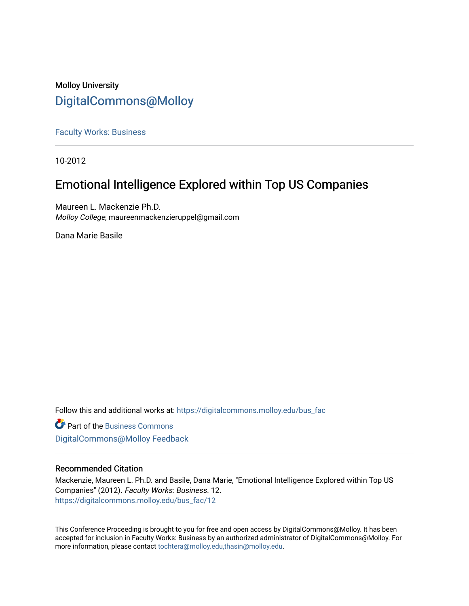### Molloy University [DigitalCommons@Molloy](https://digitalcommons.molloy.edu/)

[Faculty Works: Business](https://digitalcommons.molloy.edu/bus_fac) 

10-2012

## Emotional Intelligence Explored within Top US Companies

Maureen L. Mackenzie Ph.D. Molloy College, maureenmackenzieruppel@gmail.com

Dana Marie Basile

Follow this and additional works at: [https://digitalcommons.molloy.edu/bus\\_fac](https://digitalcommons.molloy.edu/bus_fac?utm_source=digitalcommons.molloy.edu%2Fbus_fac%2F12&utm_medium=PDF&utm_campaign=PDFCoverPages)

**C** Part of the [Business Commons](https://network.bepress.com/hgg/discipline/622?utm_source=digitalcommons.molloy.edu%2Fbus_fac%2F12&utm_medium=PDF&utm_campaign=PDFCoverPages) [DigitalCommons@Molloy Feedback](https://molloy.libwizard.com/f/dcfeedback)

### Recommended Citation

Mackenzie, Maureen L. Ph.D. and Basile, Dana Marie, "Emotional Intelligence Explored within Top US Companies" (2012). Faculty Works: Business. 12. [https://digitalcommons.molloy.edu/bus\\_fac/12](https://digitalcommons.molloy.edu/bus_fac/12?utm_source=digitalcommons.molloy.edu%2Fbus_fac%2F12&utm_medium=PDF&utm_campaign=PDFCoverPages) 

This Conference Proceeding is brought to you for free and open access by DigitalCommons@Molloy. It has been accepted for inclusion in Faculty Works: Business by an authorized administrator of DigitalCommons@Molloy. For more information, please contact [tochtera@molloy.edu,thasin@molloy.edu.](mailto:tochtera@molloy.edu,thasin@molloy.edu)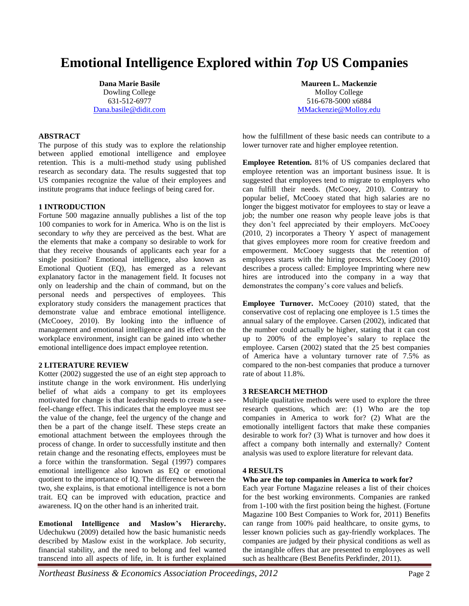# **Emotional Intelligence Explored within** *Top* **US Companies**

**Dana Marie Basile** Dowling College 631-512-6977 Dana.basile@didit.com

#### **ABSTRACT**

The purpose of this study was to explore the relationship between applied emotional intelligence and employee retention. This is a multi-method study using published research as secondary data. The results suggested that top US companies recognize the value of their employees and institute programs that induce feelings of being cared for.

#### **1 INTRODUCTION**

Fortune 500 magazine annually publishes a list of the top 100 companies to work for in America. Who is on the list is secondary to *why* they are perceived as the best. What are the elements that make a company so desirable to work for that they receive thousands of applicants each year for a single position? Emotional intelligence, also known as Emotional Quotient (EQ), has emerged as a relevant explanatory factor in the management field. It focuses not only on leadership and the chain of command, but on the personal needs and perspectives of employees. This exploratory study considers the management practices that demonstrate value and embrace emotional intelligence. (McCooey, 2010). By looking into the influence of management and emotional intelligence and its effect on the workplace environment, insight can be gained into whether emotional intelligence does impact employee retention.

#### **2 LITERATURE REVIEW**

Kotter (2002) suggested the use of an eight step approach to institute change in the work environment. His underlying belief of what aids a company to get its employees motivated for change is that leadership needs to create a seefeel-change effect. This indicates that the employee must see the value of the change, feel the urgency of the change and then be a part of the change itself. These steps create an emotional attachment between the employees through the process of change. In order to successfully institute and then retain change and the resonating effects, employees must be a force within the transformation. Segal (1997) compares emotional intelligence also known as EQ or emotional quotient to the importance of IQ. The difference between the two, she explains, is that emotional intelligence is not a born trait. EQ can be improved with education, practice and awareness. IQ on the other hand is an inherited trait.

**Emotional Intelligence and Maslow's Hierarchy.**  Udechukwu (2009) detailed how the basic humanistic needs described by Maslow exist in the workplace. Job security, financial stability, and the need to belong and feel wanted transcend into all aspects of life, in. It is further explained

**Maureen L. Mackenzie** Molloy College 516-678-5000 x6884 MMackenzie@Molloy.edu

how the fulfillment of these basic needs can contribute to a lower turnover rate and higher employee retention.

**Employee Retention.** 81% of US companies declared that employee retention was an important business issue. It is suggested that employees tend to migrate to employers who can fulfill their needs. (McCooey, 2010). Contrary to popular belief, McCooey stated that high salaries are no longer the biggest motivator for employees to stay or leave a job; the number one reason why people leave jobs is that they don't feel appreciated by their employers. McCooey (2010, 2) incorporates a Theory Y aspect of management that gives employees more room for creative freedom and empowerment. McCooey suggests that the retention of employees starts with the hiring process. McCooey (2010) describes a process called: Employee Imprinting where new hires are introduced into the company in a way that demonstrates the company's core values and beliefs.

**Employee Turnover.** McCooey (2010) stated, that the conservative cost of replacing one employee is 1.5 times the annual salary of the employee. Carsen (2002), indicated that the number could actually be higher, stating that it can cost up to 200% of the employee's salary to replace the employee. Carsen (2002) stated that the 25 best companies of America have a voluntary turnover rate of 7.5% as compared to the non-best companies that produce a turnover rate of about 11.8%.

#### **3 RESEARCH METHOD**

Multiple qualitative methods were used to explore the three research questions, which are: (1) Who are the top companies in America to work for? (2) What are the emotionally intelligent factors that make these companies desirable to work for? (3) What is turnover and how does it affect a company both internally and externally? Content analysis was used to explore literature for relevant data.

#### **4 RESULTS**

#### **Who are the top companies in America to work for?**

Each year Fortune Magazine releases a list of their choices for the best working environments. Companies are ranked from 1-100 with the first position being the highest. (Fortune Magazine 100 Best Companies to Work for, 2011) Benefits can range from 100% paid healthcare, to onsite gyms, to lesser known policies such as gay-friendly workplaces. The companies are judged by their physical conditions as well as the intangible offers that are presented to employees as well such as healthcare (Best Benefits Perkfinder, 2011).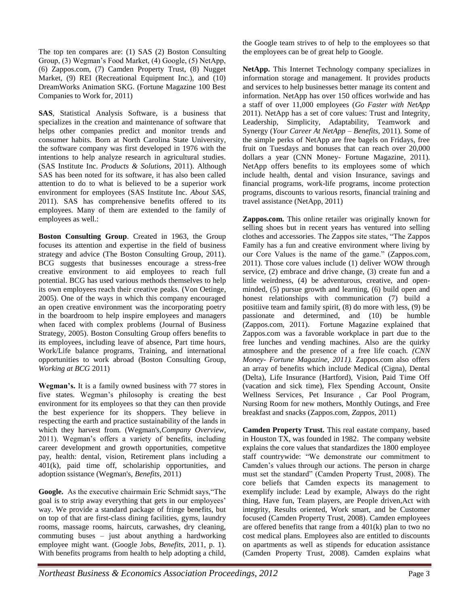The top ten compares are: (1) SAS (2) Boston Consulting Group, (3) Wegman's Food Market, (4) Google, (5) NetApp, (6) Zappos.com, (7) Camden Property Trust, (8) Nugget Market, (9) REI (Recreational Equipment Inc.), and (10) DreamWorks Animation SKG. (Fortune Magazine 100 Best Companies to Work for, 2011)

**SAS**, Statistical Analysis Software, is a business that specializes in the creation and maintenance of software that helps other companies predict and monitor trends and consumer habits. Born at North Carolina State University, the software company was first developed in 1976 with the intentions to help analyze research in agricultural studies. (SAS Institute Inc. *Products & Solutions*, 2011). Although SAS has been noted for its software, it has also been called attention to do to what is believed to be a superior work environment for employees (SAS Institute Inc. *About SAS*, 2011). SAS has comprehensive benefits offered to its employees. Many of them are extended to the family of employees as well.:

**Boston Consulting Group**. Created in 1963, the Group focuses its attention and expertise in the field of business strategy and advice (The Boston Consulting Group, 2011). BCG suggests that businesses encourage a stress-free creative environment to aid employees to reach full potential. BCG has used various methods themselves to help its own employees reach their creative peaks. (Von Oetinge, 2005). One of the ways in which this company encouraged an open creative environment was the incorporating poetry in the boardroom to help inspire employees and managers when faced with complex problems (Journal of Business Strategy, 2005). Boston Consulting Group offers benefits to its employees, including leave of absence, Part time hours, Work/Life balance programs, Training, and international opportunities to work abroad (Boston Consulting Group, *Working at BCG* 2011)

**Wegman's.** It is a family owned business with 77 stores in five states. Wegman's philosophy is creating the best environment for its employees so that they can then provide the best experience for its shoppers. They believe in respecting the earth and practice sustainability of the lands in which they harvest from. (Wegman's,*Company Overview,* 2011). Wegman's offers a variety of benefits, including career development and growth opportunities, competitve pay, health: dental, vision, Retirement plans including a 401(k), paid time off, scholariship opportunities, and adoption ssistance (Wegman's, *Benefits,* 2011)

**Google.** As the executive chairmain Eric Schmidt says,"The goal is to strip away everything that gets in our employees' way. We provide a standard package of fringe benefits, but on top of that are first-class dining facilities, gyms, laundry rooms, massage rooms, haircuts, carwashes, dry cleaning, commuting buses – just about anything a hardworking employee might want. (Google Jobs, *Benefits,* 2011, p. 1). With benefits programs from health to help adopting a child,

the Google team strives to of help to the employees so that the employees can be of great help to Google.

**NetApp.** This Internet Technology company specializes in information storage and management. It provides products and services to help businesses better manage its content and information. NetApp has over 150 offices worlwide and has a staff of over 11,000 employees (*Go Faster with NetApp* 2011). NetApp has a set of core values: Trust and Integrity, Leadership, Simplicity, Adaptability, Teamwork and Synergy (*Your Career At NetApp – Benefits,* 2011). Some of the simple perks of NetApp are free bagels on Fridays, free fruit on Tuesdays and bonuses that can reach over 20,000 dollars a year (CNN Money- Fortune Magazine*,* 2011). NetApp offers benefits to its employees some of which include health, dental and vision Insurance, savings and financial programs, work-life programs, income protection programs, discounts to various resorts, financial training and travel assistance (NetApp, 2011)

**Zappos.com.** This online retailer was originally known for selling shoes but in recent years has ventured into selling clothes and accessories. The Zappos site states, "The Zappos Family has a fun and creative environment where living by our Core Values is the name of the game." (Zappos.com*,* 2011). Those core values include (1) deliver WOW through service, (2) embrace and drive change, (3) create fun and a little weirdness, (4) be adventurous, creative, and openminded, (5) pursue growth and learning, (6) build open and honest relationships with communication (7) build a positiive team and family spirit, (8) do more with less, (9) be passionate and determined, and (10) be humble (Zappos.com*,* 2011). Fortune Magazine explained that Zappos.com was a favorable workplace in part due to the free lunches and vending machines. Also are the quirky atmosphere and the presence of a free life coach. *(CNN Money- Fortune Magazine, 2011).* Zappos.com also offers an array of benefits which include Medical (Cigna), Dental (Delta), Life Insurance (Hartford), Vision, Paid Time Off (vacation and sick time), Flex Spending Account, Onsite Wellness Services, Pet Insurance , Car Pool Program, Nursing Room for new mothers, Monthly Outings, and Free breakfast and snacks (Zappos.com, *Zappos*, 2011)

**Camden Property Trust.** This real eastate company, based in Houston TX, was founded in 1982. The company website explains the core values that standardizes the 1800 employee staff countrywide: "We demonstrate our commitment to Camden's values through our actions. The person in charge must set the standard" (Camden Property Trust, 2008). The core beliefs that Camden expects its management to exemplify include: Lead by example, Always do the right thing, Have fun, Team players, are People driven,Act with integrity, Results oriented, Work smart, and be Customer focused (Camden Property Trust, 2008). Camden employees are offered benefits that range from a 401(k) plan to two no cost medical plans. Employees also are entitled to discounts on apartments as well as stipends for education assistance (Camden Property Trust, 2008). Camden explains what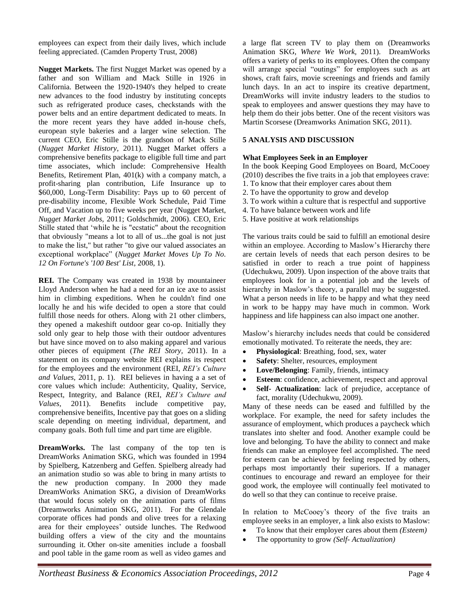employees can expect from their daily lives, which include feeling appreciated. (Camden Property Trust, 2008)

**Nugget Markets.** The first Nugget Market was opened by a father and son William and Mack Stille in 1926 in California. Between the 1920-1940's they helped to create new advances to the food industry by instituting concepts such as refrigerated produce cases, checkstands with the power belts and an entire department dedicated to meats. In the more recent years they have added in-house chefs, european style bakeries and a larger wine selection. The current CEO, Eric Stille is the grandson of Mack Stille (*Nugget Market History*, 2011). Nugget Market offers a comprehensive benefits package to eligible full time and part time associates, which include: Comprehensive Health Benefits, Retirement Plan, 401(k) with a company match, a profit-sharing plan contribution, Life Insurance up to \$60,000, Long-Term Disability: Pays up to 60 percent of pre-disability income, Flexible Work Schedule, Paid Time Off, and Vacation up to five weeks per year (Nugget Market, *Nugget Market Jobs,* 2011; Goldschmidt, 2006). CEO, Eric Stille stated that 'while he is "ecstatic" about the recognition that obviously "means a lot to all of us...the goal is not just to make the list," but rather "to give our valued associates an exceptional workplace" (*Nugget Market Moves Up To No. 12 On Fortune's '100 Best' List*, 2008, 1).

**REI.** The Company was created in 1938 by mountaineer Lloyd Anderson when he had a need for an ice axe to assist him in climbing expeditions. When he couldn't find one locally he and his wife decided to open a store that could fulfill those needs for others. Along with 21 other climbers, they opened a makeshift outdoor gear co-op. Initially they sold only gear to help those with their outdoor adventures but have since moved on to also making apparel and various other pieces of equipment (*The REI Story,* 2011). In a statement on its company website REI explains its respect for the employees and the environment (REI, *REI's Culture and Values,* 2011, p. 1). REI believes in having a a set of core values which include: Authenticity, Quality, Service, Respect, Integrity, and Balance (REI, *REI's Culture and Values,* 2011). Benefits include competitive pay, comprehensive beneifits, Incentive pay that goes on a sliding scale depending on meeting individual, department, and company goals. Both full time and part time are eligible.

**DreamWorks.** The last company of the top ten is DreamWorks Animation SKG, which was founded in 1994 by Spielberg, Katzenberg and Geffen. Spielberg already had an animation studio so was able to bring in many artists to the new production company. In 2000 they made DreamWorks Animation SKG, a division of DreamWorks that would focus solely on the animation parts of films (Dreamworks Animation SKG, 2011). For the Glendale corporate offices had ponds and olive trees for a relaxing area for their employees' outside lunches. The Redwood building offers a view of the city and the mountains surrounding it. Other on-site amenities include a foosball and pool table in the game room as well as video games and a large flat screen TV to play them on (Dreamworks Animation SKG, *Where We Work,* 2011). DreamWorks offers a variety of perks to its employees. Often the company will arrange special "outings" for employees such as art shows, craft fairs, movie screenings and friends and family lunch days. In an act to inspire its creative department, DreamWorks will invite industry leaders to the studios to speak to employees and answer questions they may have to help them do their jobs better. One of the recent visitors was Martin Scorsese (Dreamworks Animation SKG, 2011).

#### **5 ANALYSIS AND DISCUSSION**

#### **What Employees Seek in an Employer**

In the book Keeping Good Employees on Board, McCooey (2010) describes the five traits in a job that employees crave: 1. To know that their employer cares about them

- 2. To have the opportunity to grow and develop
- 3. To work within a culture that is respectful and supportive
- 4. To have balance between work and life
- 5. Have positive at work relationships

The various traits could be said to fulfill an emotional desire within an employee. According to Maslow's Hierarchy there are certain levels of needs that each person desires to be satisfied in order to reach a true point of happiness (Udechukwu, 2009). Upon inspection of the above traits that employees look for in a potential job and the levels of hierarchy in Maslow's theory, a parallel may be suggested. What a person needs in life to be happy and what they need in work to be happy may have much in common. Work happiness and life happiness can also impact one another.

Maslow's hierarchy includes needs that could be considered emotionally motivated. To reiterate the needs, they are:

- **Physiological**: Breathing, food, sex, water
- **Safety**: Shelter, resources, employment
- **Love/Belonging**: Family, friends, intimacy
- **Esteem**: confidence, achievement, respect and approval
- **Self- Actualization**: lack of prejudice, acceptance of fact, morality (Udechukwu, 2009).

Many of these needs can be eased and fulfilled by the workplace. For example, the need for safety includes the assurance of employment, which produces a paycheck which translates into shelter and food. Another example could be love and belonging. To have the ability to connect and make friends can make an employee feel accomplished. The need for esteem can be achieved by feeling respected by others, perhaps most importantly their superiors. If a manager continues to encourage and reward an employee for their good work, the employee will continually feel motivated to do well so that they can continue to receive praise.

In relation to McCooey's theory of the five traits an employee seeks in an employer, a link also exists to Maslow:

- To know that their employer cares about them *(Esteem)*
- The opportunity to grow *(Self- Actualization)*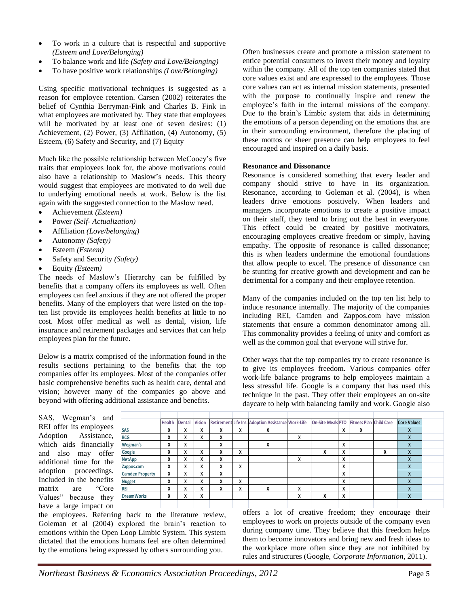- To work in a culture that is respectful and supportive *(Esteem and Love/Belonging)*
- To balance work and life *(Safety and Love/Belonging)*
- To have positive work relationships *(Love/Belonging)*

Using specific motivational techniques is suggested as a reason for employee retention. Carsen (2002) reiterates the belief of Cynthia Berryman-Fink and Charles B. Fink in what employees are motivated by. They state that employees will be motivated by at least one of seven desires: (1) Achievement, (2) Power, (3) Affiliation, (4) Autonomy, (5) Esteem, (6) Safety and Security, and (7) Equity

Much like the possible relationship between McCooey's five traits that employees look for, the above motivations could also have a relationship to Maslow's needs. This theory would suggest that employees are motivated to do well due to underlying emotional needs at work. Below is the list again with the suggested connection to the Maslow need.

- Achievement *(Esteem)*
- Power *(Self- Actualization)*
- Affiliation *(Love/belonging)*
- Autonomy *(Safety)*
- Esteem *(Esteem)*
- Safety and Security *(Safety)*
- Equity *(Esteem)*

The needs of Maslow's Hierarchy can be fulfilled by benefits that a company offers its employees as well. Often employees can feel anxious if they are not offered the proper benefits. Many of the employers that were listed on the topten list provide its employees health benefits at little to no cost. Most offer medical as well as dental, vision, life insurance and retirement packages and services that can help employees plan for the future.

Below is a matrix comprised of the information found in the results sections pertaining to the benefits that the top companies offer its employees. Most of the companies offer basic comprehensive benefits such as health care, dental and vision; however many of the companies go above and beyond with offering additional assistance and benefits.

Often businesses create and promote a mission statement to entice potential consumers to invest their money and loyalty within the company. All of the top ten companies stated that core values exist and are expressed to the employees. Those core values can act as internal mission statements, presented with the purpose to continually inspire and renew the employee's faith in the internal missions of the company. Due to the brain's Limbic system that aids in determining the emotions of a person depending on the emotions that are in their surrounding environment, therefore the placing of these mottos or sheer presence can help employees to feel encouraged and inspired on a daily basis.

#### **Resonance and Dissonance**

Resonance is considered something that every leader and company should strive to have in its organization. Resonance, according to Goleman et al. (2004), is when leaders drive emotions positively. When leaders and managers incorporate emotions to create a positive impact on their staff, they tend to bring out the best in everyone. This effect could be created by positive motivators, encouraging employees creative freedom or simply, having empathy. The opposite of resonance is called dissonance; this is when leaders undermine the emotional foundations that allow people to excel. The presence of dissonance can be stunting for creative growth and development and can be detrimental for a company and their employee retention.

Many of the companies included on the top ten list help to induce resonance internally. The majority of the companies including REI, Camden and Zappos.com have mission statements that ensure a common denominator among all. This commonality provides a feeling of unity and comfort as well as the common goal that everyone will strive for.

Other ways that the top companies try to create resonance is to give its employees freedom. Various companies offer work-life balance programs to help employees maintain a less stressful life. Google is a company that has used this technique in the past. They offer their employees an on-site daycare to help with balancing family and work. Google also

SAS, Wegman's and REI offer its employees Adoption Assistance, which aids financially and also may offer additional time for the adoption proceedings. Included in the benefits matrix are "Core Values" because they have a large impact on

|                        | <b>Health</b> | <b>Dental</b> | <b>Vision</b> |   |   | Retirement Life Ins. Adoption Assistance Work-Life |   | On-Site Meals PTO Fitness Plan Child Care |   |   |   | <b>Core Values</b> |
|------------------------|---------------|---------------|---------------|---|---|----------------------------------------------------|---|-------------------------------------------|---|---|---|--------------------|
| SAS                    | X             | Χ             | Χ             | X | X | X                                                  |   |                                           | X | x |   | X                  |
| <b>BCG</b>             | X             | Χ             | X             | X |   |                                                    | X |                                           |   |   |   | X                  |
| Wegman's               | X             | Χ             |               | X |   | х                                                  |   |                                           | X |   |   | X                  |
| Google                 | X             | X             | X             | X | X |                                                    |   | х                                         | X |   | X | X                  |
| NetApp                 | X             | Χ             | X             | X |   |                                                    | X |                                           | X |   |   | X                  |
| Zappos.com             | X             | Χ             | Χ             | X | X |                                                    |   |                                           | X |   |   | X                  |
| <b>Camden Property</b> | X             | X             | X             | X |   |                                                    |   |                                           | X |   |   | X                  |
| <b>Nugget</b>          | X             | X             | X             | X | X |                                                    |   |                                           | X |   |   | X                  |
| REI                    | X             | Χ             | X             | X | X | X                                                  | X |                                           | X |   |   | X                  |
| <b>DreamWorks</b>      | X             | Χ             | X             |   |   |                                                    | X | X                                         | X |   |   | X                  |
|                        |               |               |               |   |   |                                                    |   |                                           |   |   |   |                    |
|                        |               |               |               |   |   |                                                    |   |                                           |   |   |   |                    |

the employees. Referring back to the literature review, Goleman et al (2004) explored the brain's reaction to emotions within the Open Loop Limbic System. This system dictated that the emotions humans feel are often determined by the emotions being expressed by others surrounding you.

offers a lot of creative freedom; they encourage their employees to work on projects outside of the company even during company time. They believe that this freedom helps them to become innovators and bring new and fresh ideas to the workplace more often since they are not inhibited by rules and structures (Google, *Corporate Information*, 2011).